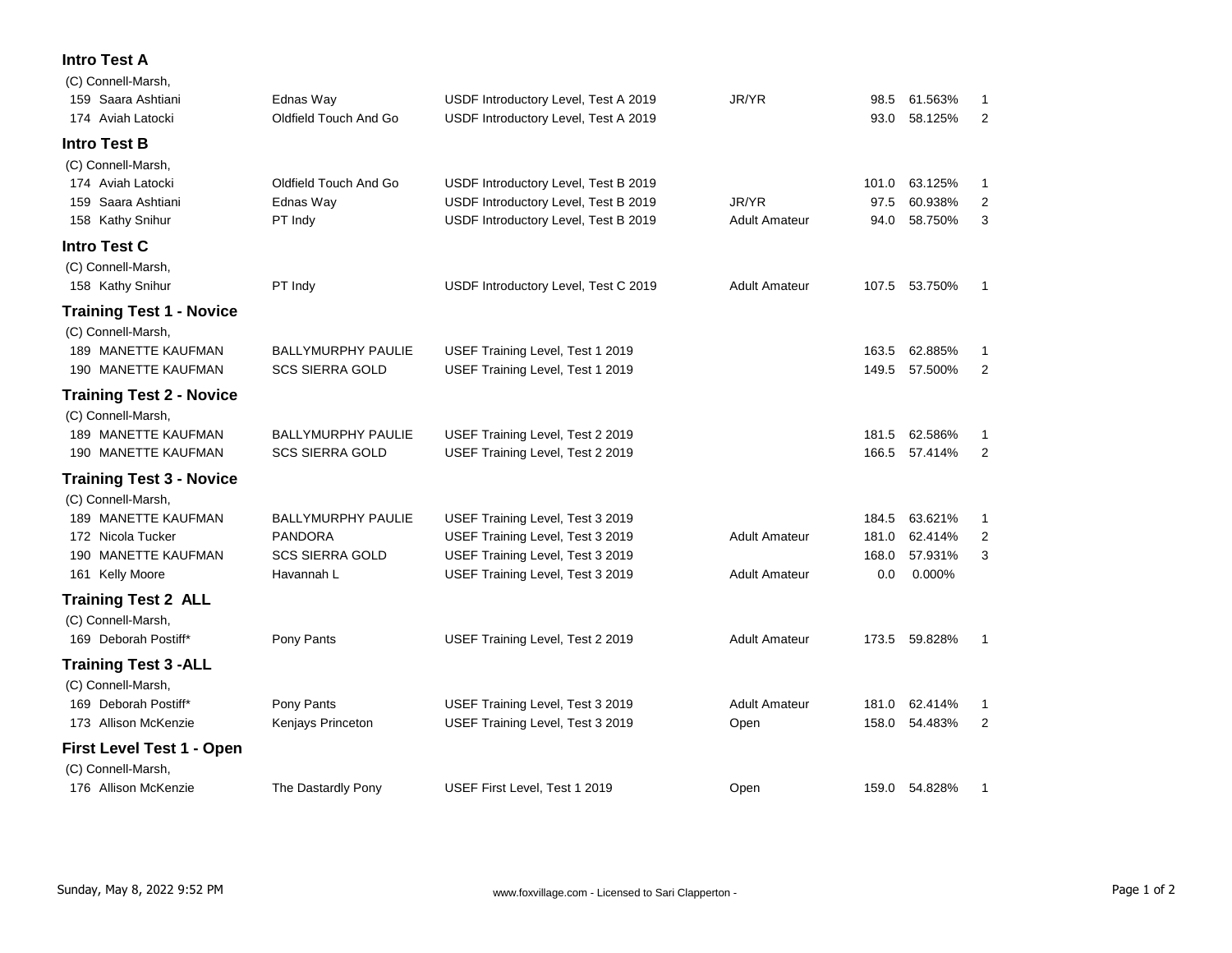## **Intro Test A**

| (C) Connell-Marsh,              |                           |                                      |                      |       |               |                |
|---------------------------------|---------------------------|--------------------------------------|----------------------|-------|---------------|----------------|
| 159 Saara Ashtiani              | Ednas Way                 | USDF Introductory Level, Test A 2019 | JR/YR                | 98.5  | 61.563%       | 1              |
| 174 Aviah Latocki               | Oldfield Touch And Go     | USDF Introductory Level, Test A 2019 |                      | 93.0  | 58.125%       | 2              |
| <b>Intro Test B</b>             |                           |                                      |                      |       |               |                |
| (C) Connell-Marsh,              |                           |                                      |                      |       |               |                |
| 174 Aviah Latocki               | Oldfield Touch And Go     | USDF Introductory Level, Test B 2019 |                      | 101.0 | 63.125%       | 1              |
| 159 Saara Ashtiani              | Ednas Way                 | USDF Introductory Level, Test B 2019 | JR/YR                | 97.5  | 60.938%       | $\overline{2}$ |
| 158 Kathy Snihur                | PT Indy                   | USDF Introductory Level, Test B 2019 | <b>Adult Amateur</b> | 94.0  | 58.750%       | 3              |
| <b>Intro Test C</b>             |                           |                                      |                      |       |               |                |
| (C) Connell-Marsh,              |                           |                                      |                      |       |               |                |
| 158 Kathy Snihur                | PT Indy                   | USDF Introductory Level, Test C 2019 | <b>Adult Amateur</b> |       | 107.5 53.750% | -1             |
| <b>Training Test 1 - Novice</b> |                           |                                      |                      |       |               |                |
| (C) Connell-Marsh,              |                           |                                      |                      |       |               |                |
| 189 MANETTE KAUFMAN             | <b>BALLYMURPHY PAULIE</b> | USEF Training Level, Test 1 2019     |                      | 163.5 | 62.885%       | 1              |
| 190 MANETTE KAUFMAN             | <b>SCS SIERRA GOLD</b>    | USEF Training Level, Test 1 2019     |                      | 149.5 | 57.500%       | 2              |
| <b>Training Test 2 - Novice</b> |                           |                                      |                      |       |               |                |
| (C) Connell-Marsh,              |                           |                                      |                      |       |               |                |
| 189 MANETTE KAUFMAN             | <b>BALLYMURPHY PAULIE</b> | USEF Training Level, Test 2 2019     |                      | 181.5 | 62.586%       | 1              |
| 190 MANETTE KAUFMAN             | <b>SCS SIERRA GOLD</b>    | USEF Training Level, Test 2 2019     |                      |       | 166.5 57.414% | 2              |
| <b>Training Test 3 - Novice</b> |                           |                                      |                      |       |               |                |
| (C) Connell-Marsh,              |                           |                                      |                      |       |               |                |
| 189 MANETTE KAUFMAN             | <b>BALLYMURPHY PAULIE</b> | USEF Training Level, Test 3 2019     |                      | 184.5 | 63.621%       | 1              |
| 172 Nicola Tucker               | <b>PANDORA</b>            | USEF Training Level, Test 3 2019     | <b>Adult Amateur</b> | 181.0 | 62.414%       | $\overline{2}$ |
| 190 MANETTE KAUFMAN             | <b>SCS SIERRA GOLD</b>    | USEF Training Level, Test 3 2019     |                      | 168.0 | 57.931%       | 3              |
| 161 Kelly Moore                 | Havannah L                | USEF Training Level, Test 3 2019     | <b>Adult Amateur</b> | 0.0   | 0.000%        |                |
| <b>Training Test 2 ALL</b>      |                           |                                      |                      |       |               |                |
| (C) Connell-Marsh,              |                           |                                      |                      |       |               |                |
| 169 Deborah Postiff*            | Pony Pants                | USEF Training Level, Test 2 2019     | <b>Adult Amateur</b> |       | 173.5 59.828% | 1              |
| <b>Training Test 3 - ALL</b>    |                           |                                      |                      |       |               |                |
| (C) Connell-Marsh,              |                           |                                      |                      |       |               |                |
| 169 Deborah Postiff*            | Pony Pants                | USEF Training Level, Test 3 2019     | Adult Amateur        | 181.0 | 62.414%       | 1              |
| 173 Allison McKenzie            | Kenjays Princeton         | USEF Training Level, Test 3 2019     | Open                 | 158.0 | 54.483%       | 2              |
| First Level Test 1 - Open       |                           |                                      |                      |       |               |                |
| (C) Connell-Marsh,              |                           |                                      |                      |       |               |                |
| 176 Allison McKenzie            | The Dastardly Pony        | USEF First Level, Test 1 2019        | Open                 |       | 159.0 54.828% | 1              |
|                                 |                           |                                      |                      |       |               |                |